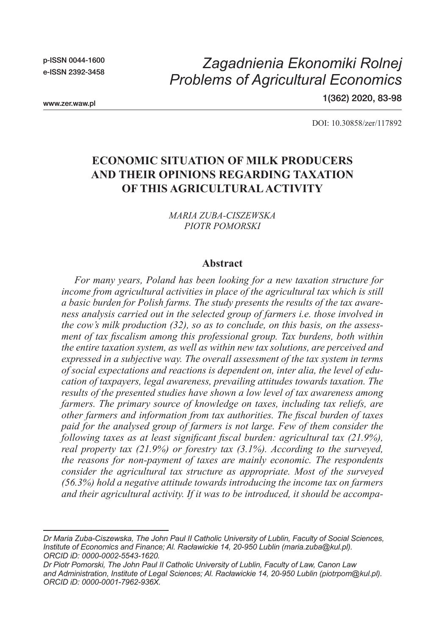p-ISSN 0044-1600 e-ISSN 2392-3458

# *Zagadnienia Ekonomiki Rolnej Problems of Agricultural Economics*

www.zer.waw.pl

1(362) 2020, 83-98

DOI: 10.30858/zer/117892

## **ECONOMIC SITUATION OF MILK PRODUCERS AND THEIR OPINIONS REGARDING TAXATION OF THIS AGRICULTURAL ACTIVITY**

*MARIA ZUBA-CISZEWSKA PIOTR POMORSKI*

#### **Abstract**

*For many years, Poland has been looking for a new taxation structure for income from agricultural activities in place of the agricultural tax which is still a basic burden for Polish farms. The study presents the results of the tax awareness analysis carried out in the selected group of farmers i.e. those involved in the cow's milk production (32), so as to conclude, on this basis, on the assessment of tax fiscalism among this professional group. Tax burdens, both within the entire taxation system, as well as within new tax solutions, are perceived and expressed in a subjective way. The overall assessment of the tax system in terms of social expectations and reactions is dependent on, inter alia, the level of education of taxpayers, legal awareness, prevailing attitudes towards taxation. The results of the presented studies have shown a low level of tax awareness among farmers. The primary source of knowledge on taxes, including tax reliefs, are other farmers and information from tax authorities. The fiscal burden of taxes paid for the analysed group of farmers is not large. Few of them consider the following taxes as at least significant fiscal burden: agricultural tax (21.9%), real property tax (21.9%) or forestry tax (3.1%). According to the surveyed, the reasons for non-payment of taxes are mainly economic. The respondents consider the agricultural tax structure as appropriate. Most of the surveyed (56.3%) hold a negative attitude towards introducing the income tax on farmers and their agricultural activity. If it was to be introduced, it should be accompa-*

*Dr Maria Zuba-Ciszewska, The John Paul II Catholic University of Lublin, Faculty of Social Sciences, Institute of Economics and Finance; Al. Racławickie 14, 20-950 Lublin (maria.zuba@kul.pl). ORCID iD: 0000-0002-5543-1620.*

*Dr Piotr Pomorski, The John Paul II Catholic University of Lublin, Faculty of Law, Canon Law and Administration, Institute of Legal Sciences; Al. Racławickie 14, 20-950 Lublin (piotrpom@kul.pl). ORCID iD: 0000-0001-7962-936X.*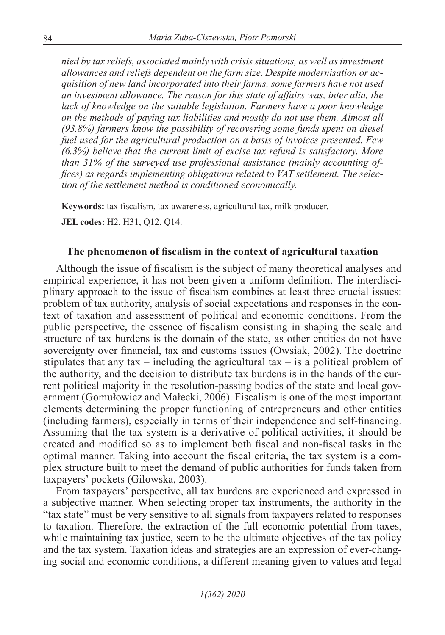*nied by tax reliefs, associated mainly with crisis situations, as well as investment allowances and reliefs dependent on the farm size. Despite modernisation or acquisition of new land incorporated into their farms, some farmers have not used an investment allowance. The reason for this state of affairs was, inter alia, the lack of knowledge on the suitable legislation. Farmers have a poor knowledge on the methods of paying tax liabilities and mostly do not use them. Almost all (93.8%) farmers know the possibility of recovering some funds spent on diesel fuel used for the agricultural production on a basis of invoices presented. Few (6.3%) believe that the current limit of excise tax refund is satisfactory. More than 31% of the surveyed use professional assistance (mainly accounting offices) as regards implementing obligations related to VAT settlement. The selection of the settlement method is conditioned economically.*

**Keywords:** tax fiscalism, tax awareness, agricultural tax, milk producer.

**JEL codes:** H2, H31, Q12, Q14.

### **The phenomenon of fiscalism in the context of agricultural taxation**

Although the issue of fiscalism is the subject of many theoretical analyses and empirical experience, it has not been given a uniform definition. The interdisciplinary approach to the issue of fiscalism combines at least three crucial issues: problem of tax authority, analysis of social expectations and responses in the context of taxation and assessment of political and economic conditions. From the public perspective, the essence of fiscalism consisting in shaping the scale and structure of tax burdens is the domain of the state, as other entities do not have sovereignty over financial, tax and customs issues (Owsiak, 2002). The doctrine stipulates that any tax – including the agricultural tax – is a political problem of the authority, and the decision to distribute tax burdens is in the hands of the current political majority in the resolution-passing bodies of the state and local government (Gomułowicz and Małecki, 2006). Fiscalism is one of the most important elements determining the proper functioning of entrepreneurs and other entities (including farmers), especially in terms of their independence and self-financing. Assuming that the tax system is a derivative of political activities, it should be created and modified so as to implement both fiscal and non-fiscal tasks in the optimal manner. Taking into account the fiscal criteria, the tax system is a complex structure built to meet the demand of public authorities for funds taken from taxpayers' pockets (Gilowska, 2003).

From taxpayers' perspective, all tax burdens are experienced and expressed in a subjective manner. When selecting proper tax instruments, the authority in the "tax state" must be very sensitive to all signals from taxpayers related to responses to taxation. Therefore, the extraction of the full economic potential from taxes, while maintaining tax justice, seem to be the ultimate objectives of the tax policy and the tax system. Taxation ideas and strategies are an expression of ever-changing social and economic conditions, a different meaning given to values and legal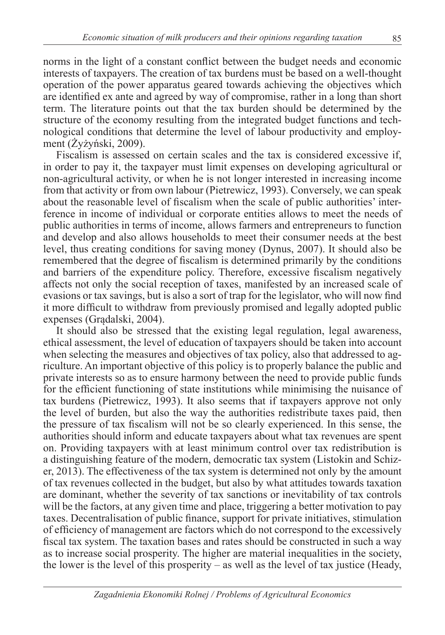norms in the light of a constant conflict between the budget needs and economic interests of taxpayers. The creation of tax burdens must be based on a well-thought operation of the power apparatus geared towards achieving the objectives which are identified ex ante and agreed by way of compromise, rather in a long than short term. The literature points out that the tax burden should be determined by the structure of the economy resulting from the integrated budget functions and technological conditions that determine the level of labour productivity and employment (Żyżyński, 2009).

Fiscalism is assessed on certain scales and the tax is considered excessive if, in order to pay it, the taxpayer must limit expenses on developing agricultural or non-agricultural activity, or when he is not longer interested in increasing income from that activity or from own labour (Pietrewicz, 1993). Conversely, we can speak about the reasonable level of fiscalism when the scale of public authorities' interference in income of individual or corporate entities allows to meet the needs of public authorities in terms of income, allows farmers and entrepreneurs to function and develop and also allows households to meet their consumer needs at the best level, thus creating conditions for saving money (Dynus, 2007). It should also be remembered that the degree of fiscalism is determined primarily by the conditions and barriers of the expenditure policy. Therefore, excessive fiscalism negatively affects not only the social reception of taxes, manifested by an increased scale of evasions or tax savings, but is also a sort of trap for the legislator, who will now find it more difficult to withdraw from previously promised and legally adopted public expenses (Grądalski, 2004).

It should also be stressed that the existing legal regulation, legal awareness, ethical assessment, the level of education of taxpayers should be taken into account when selecting the measures and objectives of tax policy, also that addressed to agriculture. An important objective of this policy is to properly balance the public and private interests so as to ensure harmony between the need to provide public funds for the efficient functioning of state institutions while minimising the nuisance of tax burdens (Pietrewicz, 1993). It also seems that if taxpayers approve not only the level of burden, but also the way the authorities redistribute taxes paid, then the pressure of tax fiscalism will not be so clearly experienced. In this sense, the authorities should inform and educate taxpayers about what tax revenues are spent on. Providing taxpayers with at least minimum control over tax redistribution is a distinguishing feature of the modern, democratic tax system (Listokin and Schizer, 2013). The effectiveness of the tax system is determined not only by the amount of tax revenues collected in the budget, but also by what attitudes towards taxation are dominant, whether the severity of tax sanctions or inevitability of tax controls will be the factors, at any given time and place, triggering a better motivation to pay taxes. Decentralisation of public finance, support for private initiatives, stimulation of efficiency of management are factors which do not correspond to the excessively fiscal tax system. The taxation bases and rates should be constructed in such a way as to increase social prosperity. The higher are material inequalities in the society, the lower is the level of this prosperity – as well as the level of tax justice (Heady,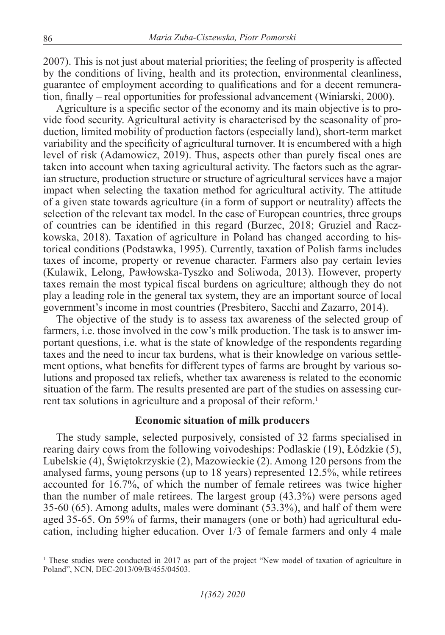2007). This is not just about material priorities; the feeling of prosperity is affected by the conditions of living, health and its protection, environmental cleanliness, guarantee of employment according to qualifications and for a decent remuneration, finally – real opportunities for professional advancement (Winiarski, 2000).

Agriculture is a specific sector of the economy and its main objective is to provide food security. Agricultural activity is characterised by the seasonality of production, limited mobility of production factors (especially land), short-term market variability and the specificity of agricultural turnover. It is encumbered with a high level of risk (Adamowicz, 2019). Thus, aspects other than purely fiscal ones are taken into account when taxing agricultural activity. The factors such as the agrarian structure, production structure or structure of agricultural services have a major impact when selecting the taxation method for agricultural activity. The attitude of a given state towards agriculture (in a form of support or neutrality) affects the selection of the relevant tax model. In the case of European countries, three groups of countries can be identified in this regard (Burzec, 2018; Gruziel and Raczkowska, 2018). Taxation of agriculture in Poland has changed according to historical conditions (Podstawka, 1995). Currently, taxation of Polish farms includes taxes of income, property or revenue character. Farmers also pay certain levies (Kulawik, Lelong, Pawłowska-Tyszko and Soliwoda, 2013). However, property taxes remain the most typical fiscal burdens on agriculture; although they do not play a leading role in the general tax system, they are an important source of local government's income in most countries (Presbitero, Sacchi and Zazarro, 2014).

The objective of the study is to assess tax awareness of the selected group of farmers, i.e. those involved in the cow's milk production. The task is to answer important questions, i.e. what is the state of knowledge of the respondents regarding taxes and the need to incur tax burdens, what is their knowledge on various settlement options, what benefits for different types of farms are brought by various solutions and proposed tax reliefs, whether tax awareness is related to the economic situation of the farm. The results presented are part of the studies on assessing current tax solutions in agriculture and a proposal of their reform.<sup>1</sup>

#### **Economic situation of milk producers**

The study sample, selected purposively, consisted of 32 farms specialised in rearing dairy cows from the following voivodeships: Podlaskie (19), Łódzkie (5), Lubelskie (4), Świętokrzyskie (2), Mazowieckie (2). Among 120 persons from the analysed farms, young persons (up to 18 years) represented 12.5%, while retirees accounted for 16.7%, of which the number of female retirees was twice higher than the number of male retirees. The largest group (43.3%) were persons aged 35-60 (65). Among adults, males were dominant (53.3%), and half of them were aged 35-65. On 59% of farms, their managers (one or both) had agricultural education, including higher education. Over 1/3 of female farmers and only 4 male

<sup>1</sup> These studies were conducted in 2017 as part of the project "New model of taxation of agriculture in Poland", NCN, DEC-2013/09/B/455/04503.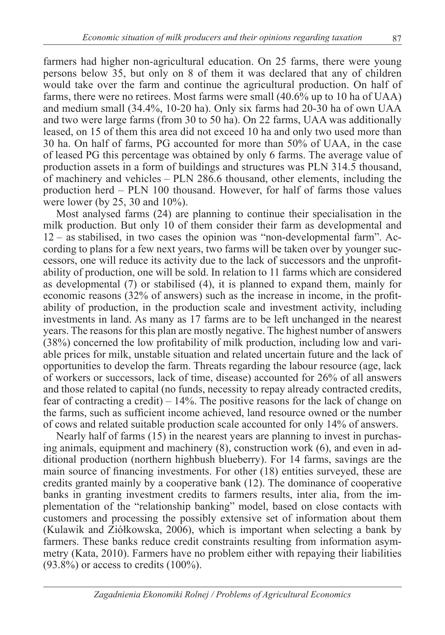farmers had higher non-agricultural education. On 25 farms, there were young persons below 35, but only on 8 of them it was declared that any of children would take over the farm and continue the agricultural production. On half of farms, there were no retirees. Most farms were small (40.6% up to 10 ha of UAA) and medium small (34.4%, 10-20 ha). Only six farms had 20-30 ha of own UAA and two were large farms (from 30 to 50 ha). On 22 farms, UAA was additionally leased, on 15 of them this area did not exceed 10 ha and only two used more than 30 ha. On half of farms, PG accounted for more than 50% of UAA, in the case of leased PG this percentage was obtained by only 6 farms. The average value of production assets in a form of buildings and structures was PLN 314.5 thousand, of machinery and vehicles – PLN 286.6 thousand, other elements, including the production herd – PLN 100 thousand. However, for half of farms those values were lower (by 25, 30 and 10%).

Most analysed farms (24) are planning to continue their specialisation in the milk production. But only 10 of them consider their farm as developmental and 12 – as stabilised, in two cases the opinion was "non-developmental farm". According to plans for a few next years, two farms will be taken over by younger successors, one will reduce its activity due to the lack of successors and the unprofitability of production, one will be sold. In relation to 11 farms which are considered as developmental (7) or stabilised (4), it is planned to expand them, mainly for economic reasons (32% of answers) such as the increase in income, in the profitability of production, in the production scale and investment activity, including investments in land. As many as 17 farms are to be left unchanged in the nearest years. The reasons for this plan are mostly negative. The highest number of answers (38%) concerned the low profitability of milk production, including low and variable prices for milk, unstable situation and related uncertain future and the lack of opportunities to develop the farm. Threats regarding the labour resource (age, lack of workers or successors, lack of time, disease) accounted for 26% of all answers and those related to capital (no funds, necessity to repay already contracted credits, fear of contracting a credit) – 14%. The positive reasons for the lack of change on the farms, such as sufficient income achieved, land resource owned or the number of cows and related suitable production scale accounted for only 14% of answers.

Nearly half of farms (15) in the nearest years are planning to invest in purchasing animals, equipment and machinery (8), construction work (6), and even in additional production (northern highbush blueberry). For 14 farms, savings are the main source of financing investments. For other (18) entities surveyed, these are credits granted mainly by a cooperative bank (12). The dominance of cooperative banks in granting investment credits to farmers results, inter alia, from the implementation of the "relationship banking" model, based on close contacts with customers and processing the possibly extensive set of information about them (Kulawik and Ziółkowska, 2006), which is important when selecting a bank by farmers. These banks reduce credit constraints resulting from information asymmetry (Kata, 2010). Farmers have no problem either with repaying their liabilities  $(93.8\%)$  or access to credits  $(100\%).$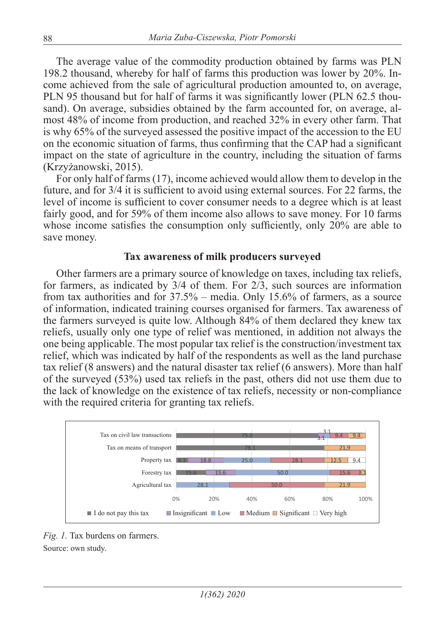The average value of the commodity production obtained by farms was PLN 198.2 thousand, whereby for half of farms this production was lower by 20%. Income achieved from the sale of agricultural production amounted to, on average, PLN 95 thousand but for half of farms it was significantly lower (PLN 62.5 thousand). On average, subsidies obtained by the farm accounted for, on average, almost 48% of income from production, and reached 32% in every other farm. That is why 65% of the surveyed assessed the positive impact of the accession to the EU on the economic situation of farms, thus confirming that the CAP had a significant impact on the state of agriculture in the country, including the situation of farms (Krzyżanowski, 2015).

For only half of farms (17), income achieved would allow them to develop in the future, and for 3/4 it is sufficient to avoid using external sources. For 22 farms, the level of income is sufficient to cover consumer needs to a degree which is at least fairly good, and for 59% of them income also allows to save money. For 10 farms whose income satisfies the consumption only sufficiently, only 20% are able to save money.

#### **Tax awareness of milk producers surveyed**

Other farmers are a primary source of knowledge on taxes, including tax reliefs, for farmers, as indicated by  $3/4$  of them. For  $2/3$ , such sources are information from tax authorities and for 37.5% – media. Only 15.6% of farmers, as a source of information, indicated training courses organised for farmers. Tax awareness of the farmers surveyed is quite low. Although 84% of them declared they knew tax reliefs, usually only one type of relief was mentioned, in addition not always the one being applicable. The most popular tax relief is the construction/investment tax relief, which was indicated by half of the respondents as well as the land purchase tax relief (8 answers) and the natural disaster tax relief (6 answers). More than half of the surveyed (53%) used tax reliefs in the past, others did not use them due to the lack of knowledge on the existence of tax reliefs, necessity or non-compliance with the required criteria for granting tax reliefs.



*Fig. 1.* Tax burdens on farmers. Source: own study.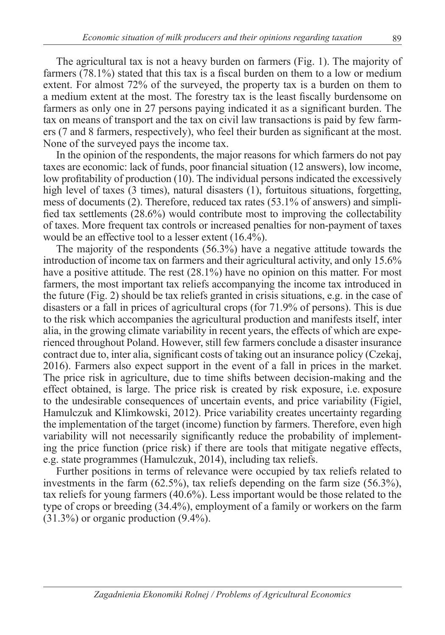The agricultural tax is not a heavy burden on farmers (Fig. 1). The majority of farmers (78.1%) stated that this tax is a fiscal burden on them to a low or medium extent. For almost 72% of the surveyed, the property tax is a burden on them to a medium extent at the most. The forestry tax is the least fiscally burdensome on farmers as only one in 27 persons paying indicated it as a significant burden. The tax on means of transport and the tax on civil law transactions is paid by few farmers (7 and 8 farmers, respectively), who feel their burden as significant at the most. None of the surveyed pays the income tax.

In the opinion of the respondents, the major reasons for which farmers do not pay taxes are economic: lack of funds, poor financial situation (12 answers), low income, low profitability of production (10). The individual persons indicated the excessively high level of taxes (3 times), natural disasters (1), fortuitous situations, forgetting, mess of documents (2). Therefore, reduced tax rates (53.1% of answers) and simplified tax settlements (28.6%) would contribute most to improving the collectability of taxes. More frequent tax controls or increased penalties for non-payment of taxes would be an effective tool to a lesser extent (16.4%).

The majority of the respondents (56.3%) have a negative attitude towards the introduction of income tax on farmers and their agricultural activity, and only 15.6% have a positive attitude. The rest  $(28.1\%)$  have no opinion on this matter. For most farmers, the most important tax reliefs accompanying the income tax introduced in the future (Fig. 2) should be tax reliefs granted in crisis situations, e.g. in the case of disasters or a fall in prices of agricultural crops (for 71.9% of persons). This is due to the risk which accompanies the agricultural production and manifests itself, inter alia, in the growing climate variability in recent years, the effects of which are experienced throughout Poland. However, still few farmers conclude a disaster insurance contract due to, inter alia, significant costs of taking out an insurance policy (Czekaj, 2016). Farmers also expect support in the event of a fall in prices in the market. The price risk in agriculture, due to time shifts between decision-making and the effect obtained, is large. The price risk is created by risk exposure, i.e. exposure to the undesirable consequences of uncertain events, and price variability (Figiel, Hamulczuk and Klimkowski, 2012). Price variability creates uncertainty regarding the implementation of the target (income) function by farmers. Therefore, even high variability will not necessarily significantly reduce the probability of implementing the price function (price risk) if there are tools that mitigate negative effects, e.g. state programmes (Hamulczuk, 2014), including tax reliefs.

Further positions in terms of relevance were occupied by tax reliefs related to investments in the farm (62.5%), tax reliefs depending on the farm size (56.3%), tax reliefs for young farmers (40.6%). Less important would be those related to the type of crops or breeding (34.4%), employment of a family or workers on the farm  $(31.3\%)$  or organic production  $(9.4\%)$ .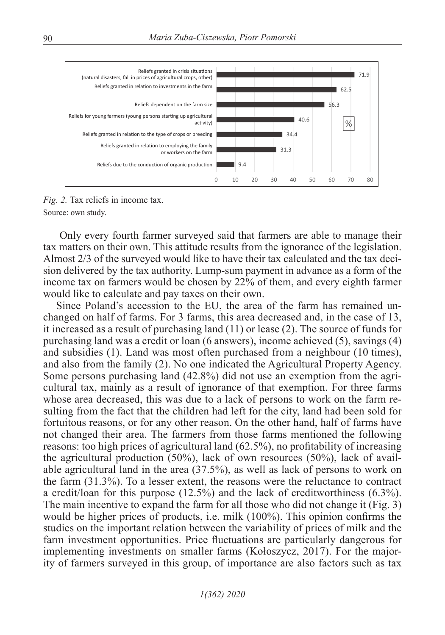

*Fig. 2.* Tax reliefs in income tax. Source: own study.

 Only every fourth farmer surveyed said that farmers are able to manage their tax matters on their own. This attitude results from the ignorance of the legislation. Almost 2/3 of the surveyed would like to have their tax calculated and the tax decision delivered by the tax authority. Lump-sum payment in advance as a form of the income tax on farmers would be chosen by 22% of them, and every eighth farmer would like to calculate and pay taxes on their own.

Since Poland's accession to the EU, the area of the farm has remained unchanged on half of farms. For 3 farms, this area decreased and, in the case of 13, it increased as a result of purchasing land (11) or lease (2). The source of funds for purchasing land was a credit or loan (6 answers), income achieved (5), savings (4) and subsidies (1). Land was most often purchased from a neighbour (10 times), and also from the family (2). No one indicated the Agricultural Property Agency. Some persons purchasing land (42.8%) did not use an exemption from the agricultural tax, mainly as a result of ignorance of that exemption. For three farms whose area decreased, this was due to a lack of persons to work on the farm resulting from the fact that the children had left for the city, land had been sold for fortuitous reasons, or for any other reason. On the other hand, half of farms have not changed their area. The farmers from those farms mentioned the following reasons: too high prices of agricultural land (62.5%), no profitability of increasing the agricultural production (50%), lack of own resources (50%), lack of available agricultural land in the area (37.5%), as well as lack of persons to work on the farm (31.3%). To a lesser extent, the reasons were the reluctance to contract a credit/loan for this purpose (12.5%) and the lack of creditworthiness (6.3%). The main incentive to expand the farm for all those who did not change it (Fig. 3) would be higher prices of products, i.e. milk (100%). This opinion confirms the studies on the important relation between the variability of prices of milk and the farm investment opportunities. Price fluctuations are particularly dangerous for implementing investments on smaller farms (Kołoszycz, 2017). For the majority of farmers surveyed in this group, of importance are also factors such as tax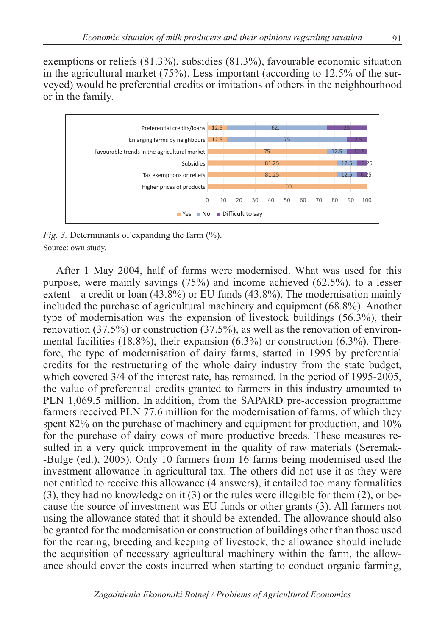exemptions or reliefs (81.3%), subsidies (81.3%), favourable economic situation in the agricultural market (75%). Less important (according to 12.5% of the surveyed) would be preferential credits or imitations of others in the neighbourhood or in the family.



*Fig. 3.* Determinants of expanding the farm  $\left(\frac{\%}{\%}\right)$ . Source: own study.

After 1 May 2004, half of farms were modernised. What was used for this purpose, were mainly savings (75%) and income achieved (62.5%), to a lesser extent – a credit or loan  $(43.8\%)$  or EU funds  $(43.8\%)$ . The modernisation mainly included the purchase of agricultural machinery and equipment (68.8%). Another type of modernisation was the expansion of livestock buildings (56.3%), their renovation (37.5%) or construction (37.5%), as well as the renovation of environmental facilities (18.8%), their expansion (6.3%) or construction (6.3%). Therefore, the type of modernisation of dairy farms, started in 1995 by preferential credits for the restructuring of the whole dairy industry from the state budget, which covered 3/4 of the interest rate, has remained. In the period of 1995-2005, the value of preferential credits granted to farmers in this industry amounted to PLN 1,069.5 million. In addition, from the SAPARD pre-accession programme farmers received PLN 77.6 million for the modernisation of farms, of which they spent 82% on the purchase of machinery and equipment for production, and 10% for the purchase of dairy cows of more productive breeds. These measures resulted in a very quick improvement in the quality of raw materials (Seremak- -Bulge (ed.), 2005). Only 10 farmers from 16 farms being modernised used the investment allowance in agricultural tax. The others did not use it as they were not entitled to receive this allowance (4 answers), it entailed too many formalities (3), they had no knowledge on it (3) or the rules were illegible for them (2), or because the source of investment was EU funds or other grants (3). All farmers not using the allowance stated that it should be extended. The allowance should also be granted for the modernisation or construction of buildings other than those used for the rearing, breeding and keeping of livestock, the allowance should include the acquisition of necessary agricultural machinery within the farm, the allowance should cover the costs incurred when starting to conduct organic farming,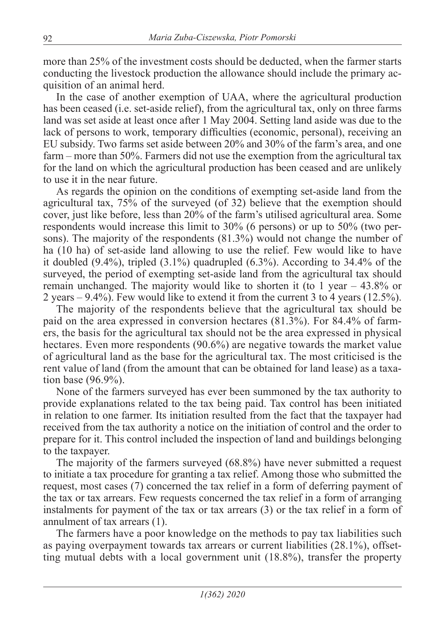more than 25% of the investment costs should be deducted, when the farmer starts conducting the livestock production the allowance should include the primary acquisition of an animal herd.

In the case of another exemption of UAA, where the agricultural production has been ceased (i.e. set-aside relief), from the agricultural tax, only on three farms land was set aside at least once after 1 May 2004. Setting land aside was due to the lack of persons to work, temporary difficulties (economic, personal), receiving an EU subsidy. Two farms set aside between 20% and 30% of the farm's area, and one farm – more than 50%. Farmers did not use the exemption from the agricultural tax for the land on which the agricultural production has been ceased and are unlikely to use it in the near future.

As regards the opinion on the conditions of exempting set-aside land from the agricultural tax, 75% of the surveyed (of 32) believe that the exemption should cover, just like before, less than 20% of the farm's utilised agricultural area. Some respondents would increase this limit to 30% (6 persons) or up to 50% (two persons). The majority of the respondents (81.3%) would not change the number of ha (10 ha) of set-aside land allowing to use the relief. Few would like to have it doubled (9.4%), tripled (3.1%) quadrupled (6.3%). According to 34.4% of the surveyed, the period of exempting set-aside land from the agricultural tax should remain unchanged. The majority would like to shorten it (to 1 year  $-43.8\%$  or 2 years – 9.4%). Few would like to extend it from the current 3 to 4 years (12.5%).

The majority of the respondents believe that the agricultural tax should be paid on the area expressed in conversion hectares (81.3%). For 84.4% of farmers, the basis for the agricultural tax should not be the area expressed in physical hectares. Even more respondents (90.6%) are negative towards the market value of agricultural land as the base for the agricultural tax. The most criticised is the rent value of land (from the amount that can be obtained for land lease) as a taxation base (96.9%).

None of the farmers surveyed has ever been summoned by the tax authority to provide explanations related to the tax being paid. Tax control has been initiated in relation to one farmer. Its initiation resulted from the fact that the taxpayer had received from the tax authority a notice on the initiation of control and the order to prepare for it. This control included the inspection of land and buildings belonging to the taxpayer.

The majority of the farmers surveyed (68.8%) have never submitted a request to initiate a tax procedure for granting a tax relief. Among those who submitted the request, most cases (7) concerned the tax relief in a form of deferring payment of the tax or tax arrears. Few requests concerned the tax relief in a form of arranging instalments for payment of the tax or tax arrears (3) or the tax relief in a form of annulment of tax arrears (1).

The farmers have a poor knowledge on the methods to pay tax liabilities such as paying overpayment towards tax arrears or current liabilities (28.1%), offsetting mutual debts with a local government unit (18.8%), transfer the property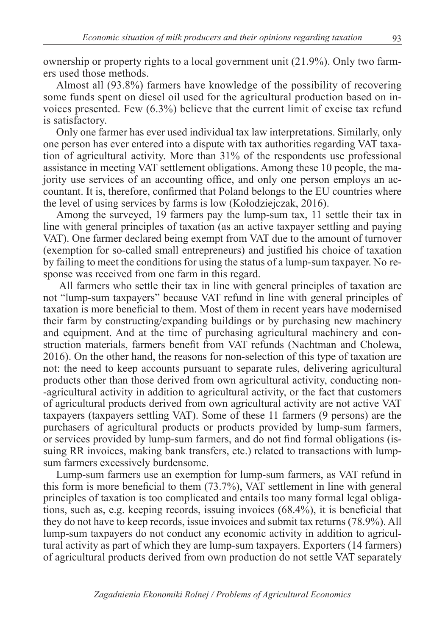ownership or property rights to a local government unit (21.9%). Only two farmers used those methods.

Almost all (93.8%) farmers have knowledge of the possibility of recovering some funds spent on diesel oil used for the agricultural production based on invoices presented. Few (6.3%) believe that the current limit of excise tax refund is satisfactory.

Only one farmer has ever used individual tax law interpretations. Similarly, only one person has ever entered into a dispute with tax authorities regarding VAT taxation of agricultural activity. More than 31% of the respondents use professional assistance in meeting VAT settlement obligations. Among these 10 people, the majority use services of an accounting office, and only one person employs an accountant. It is, therefore, confirmed that Poland belongs to the EU countries where the level of using services by farms is low (Kołodziejczak, 2016).

Among the surveyed, 19 farmers pay the lump-sum tax, 11 settle their tax in line with general principles of taxation (as an active taxpayer settling and paying VAT). One farmer declared being exempt from VAT due to the amount of turnover (exemption for so-called small entrepreneurs) and justified his choice of taxation by failing to meet the conditions for using the status of a lump-sum taxpayer. No response was received from one farm in this regard.

 All farmers who settle their tax in line with general principles of taxation are not "lump-sum taxpayers" because VAT refund in line with general principles of taxation is more beneficial to them. Most of them in recent years have modernised their farm by constructing/expanding buildings or by purchasing new machinery and equipment. And at the time of purchasing agricultural machinery and construction materials, farmers benefit from VAT refunds (Nachtman and Cholewa, 2016). On the other hand, the reasons for non-selection of this type of taxation are not: the need to keep accounts pursuant to separate rules, delivering agricultural products other than those derived from own agricultural activity, conducting non- -agricultural activity in addition to agricultural activity, or the fact that customers of agricultural products derived from own agricultural activity are not active VAT taxpayers (taxpayers settling VAT). Some of these 11 farmers (9 persons) are the purchasers of agricultural products or products provided by lump-sum farmers, or services provided by lump-sum farmers, and do not find formal obligations (issuing RR invoices, making bank transfers, etc.) related to transactions with lumpsum farmers excessively burdensome.

Lump-sum farmers use an exemption for lump-sum farmers, as VAT refund in this form is more beneficial to them (73.7%), VAT settlement in line with general principles of taxation is too complicated and entails too many formal legal obligations, such as, e.g. keeping records, issuing invoices (68.4%), it is beneficial that they do not have to keep records, issue invoices and submit tax returns (78.9%). All lump-sum taxpayers do not conduct any economic activity in addition to agricultural activity as part of which they are lump-sum taxpayers. Exporters (14 farmers) of agricultural products derived from own production do not settle VAT separately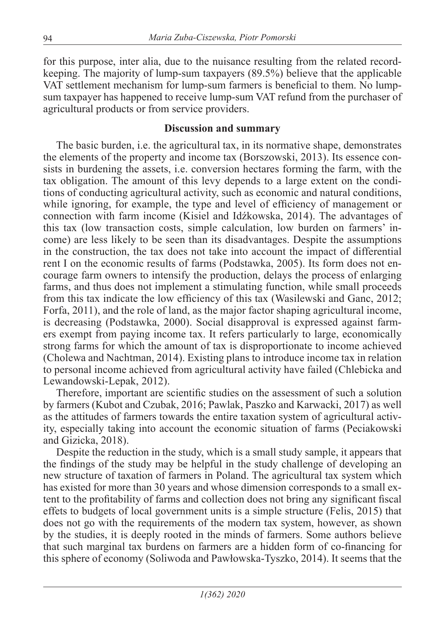for this purpose, inter alia, due to the nuisance resulting from the related recordkeeping. The majority of lump-sum taxpayers (89.5%) believe that the applicable VAT settlement mechanism for lump-sum farmers is beneficial to them. No lumpsum taxpayer has happened to receive lump-sum VAT refund from the purchaser of agricultural products or from service providers.

#### **Discussion and summary**

The basic burden, i.e. the agricultural tax, in its normative shape, demonstrates the elements of the property and income tax (Borszowski, 2013). Its essence consists in burdening the assets, i.e. conversion hectares forming the farm, with the tax obligation. The amount of this levy depends to a large extent on the conditions of conducting agricultural activity, such as economic and natural conditions, while ignoring, for example, the type and level of efficiency of management or connection with farm income (Kisiel and Idźkowska, 2014). The advantages of this tax (low transaction costs, simple calculation, low burden on farmers' income) are less likely to be seen than its disadvantages. Despite the assumptions in the construction, the tax does not take into account the impact of differential rent I on the economic results of farms (Podstawka, 2005). Its form does not encourage farm owners to intensify the production, delays the process of enlarging farms, and thus does not implement a stimulating function, while small proceeds from this tax indicate the low efficiency of this tax (Wasilewski and Ganc, 2012; Forfa, 2011), and the role of land, as the major factor shaping agricultural income, is decreasing (Podstawka, 2000). Social disapproval is expressed against farmers exempt from paying income tax. It refers particularly to large, economically strong farms for which the amount of tax is disproportionate to income achieved (Cholewa and Nachtman, 2014). Existing plans to introduce income tax in relation to personal income achieved from agricultural activity have failed (Chlebicka and Lewandowski-Lepak, 2012).

Therefore, important are scientific studies on the assessment of such a solution by farmers (Kubot and Czubak, 2016; Pawlak, Paszko and Karwacki, 2017) as well as the attitudes of farmers towards the entire taxation system of agricultural activity, especially taking into account the economic situation of farms (Peciakowski and Gizicka, 2018).

Despite the reduction in the study, which is a small study sample, it appears that the findings of the study may be helpful in the study challenge of developing an new structure of taxation of farmers in Poland. The agricultural tax system which has existed for more than 30 years and whose dimension corresponds to a small extent to the profitability of farms and collection does not bring any significant fiscal effets to budgets of local government units is a simple structure (Felis, 2015) that does not go with the requirements of the modern tax system, however, as shown by the studies, it is deeply rooted in the minds of farmers. Some authors believe that such marginal tax burdens on farmers are a hidden form of co-financing for this sphere of economy (Soliwoda and Pawłowska-Tyszko, 2014). It seems that the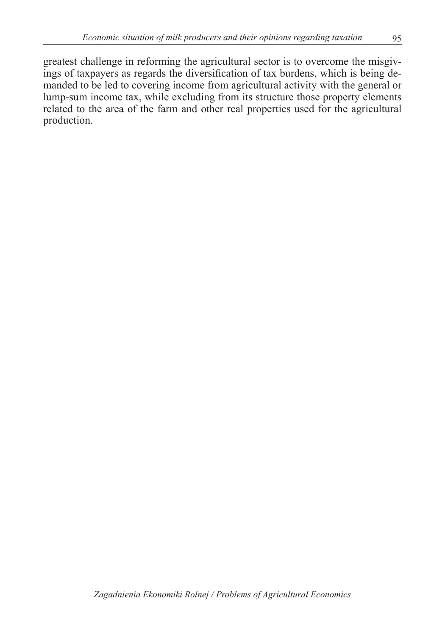greatest challenge in reforming the agricultural sector is to overcome the misgivings of taxpayers as regards the diversification of tax burdens, which is being demanded to be led to covering income from agricultural activity with the general or lump-sum income tax, while excluding from its structure those property elements related to the area of the farm and other real properties used for the agricultural production.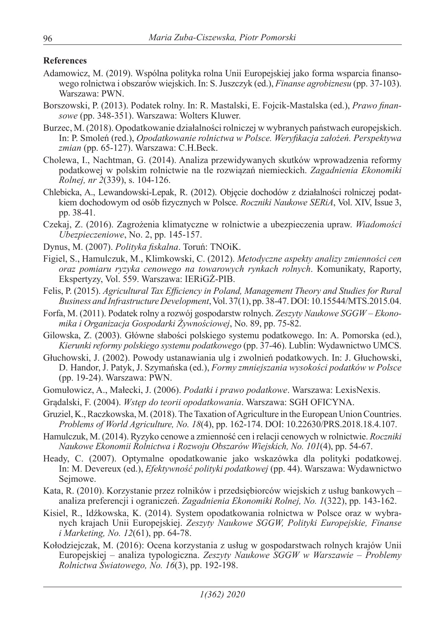#### **References**

- Adamowicz, M. (2019). Wspólna polityka rolna Unii Europejskiej jako forma wsparcia finansowego rolnictwa i obszarów wiejskich. In: S. Juszczyk (ed.), *Finanse agrobiznesu* (pp. 37-103). Warszawa: PWN.
- Borszowski, P. (2013). Podatek rolny. In: R. Mastalski, E. Fojcik-Mastalska (ed.), *Prawo finansowe* (pp. 348-351). Warszawa: Wolters Kluwer.
- Burzec, M. (2018). Opodatkowanie działalności rolniczej w wybranych państwach europejskich. In: P. Smoleń (red.), *Opodatkowanie rolnictwa w Polsce. Weryfikacja założeń. Perspektywa zmian* (pp. 65-127). Warszawa: C.H.Beck.
- Cholewa, I., Nachtman, G. (2014). Analiza przewidywanych skutków wprowadzenia reformy podatkowej w polskim rolnictwie na tle rozwiązań niemieckich. *Zagadnienia Ekonomiki Rolnej, nr 2*(339), s. 104-126.
- Chlebicka, A., Lewandowski-Lepak, R. (2012). Objęcie dochodów z działalności rolniczej podatkiem dochodowym od osób fizycznych w Polsce. *Roczniki Naukowe SERiA*, Vol. XIV, Issue 3, pp. 38-41.
- Czekaj, Z. (2016). Zagrożenia klimatyczne w rolnictwie a ubezpieczenia upraw. *Wiadomości Ubezpieczeniowe*, No. 2, pp. 145-157.
- Dynus, M. (2007). *Polityka fiskalna*. Toruń: TNOiK.
- Figiel, S., Hamulczuk, M., Klimkowski, C. (2012). *Metodyczne aspekty analizy zmienności cen oraz pomiaru ryzyka cenowego na towarowych rynkach rolnych*. Komunikaty, Raporty, Ekspertyzy, Vol. 559. Warszawa: IERiGŻ-PIB.
- Felis, P. (2015). *Agricultural Tax Efficiency in Poland, Management Theory and Studies for Rural Business and Infrastructure Development*, Vol. 37(1), pp. 38-47. DOI: 10.15544/MTS.2015.04.
- Forfa, M. (2011). Podatek rolny a rozwój gospodarstw rolnych. *Zeszyty Naukowe SGGW* – *Ekonomika i Organizacja Gospodarki Żywnościowej*, No. 89, pp. 75-82.
- Gilowska, Z. (2003). Główne słabości polskiego systemu podatkowego. In: A. Pomorska (ed.), *Kierunki reformy polskiego systemu podatkowego* (pp. 37-46). Lublin: Wydawnictwo UMCS.
- Głuchowski, J. (2002). Powody ustanawiania ulg i zwolnień podatkowych. In: J. Głuchowski, D. Handor, J. Patyk, J. Szymańska (ed.), *Formy zmniejszania wysokości podatków w Polsce* (pp. 19-24). Warszawa: PWN.
- Gomułowicz, A., Małecki, J. (2006). *Podatki i prawo podatkowe*. Warszawa: LexisNexis.
- Grądalski, F. (2004). *Wstęp do teorii opodatkowania*. Warszawa: SGH OFICYNA.
- Gruziel, K., Raczkowska, M. (2018). The Taxation of Agriculture in the European Union Countries. *Problems of World Agriculture, No. 18*(4), pp. 162-174. DOI: 10.22630/PRS.2018.18.4.107.
- Hamulczuk, M. (2014). Ryzyko cenowe a zmienność cen i relacji cenowych w rolnictwie. *Roczniki Naukowe Ekonomii Rolnictwa i Rozwoju Obszarów Wiejskich, No. 101*(4), pp. 54-67.
- Heady, C. (2007). Optymalne opodatkowanie jako wskazówka dla polityki podatkowej. In: M. Devereux (ed.), *Efektywność polityki podatkowej* (pp. 44). Warszawa: Wydawnictwo Sejmowe.
- Kata, R. (2010). Korzystanie przez rolników i przedsiębiorców wiejskich z usług bankowych analiza preferencji i ograniczeń. *Zagadnienia Ekonomiki Rolnej, No. 1*(322), pp. 143-162.
- Kisiel, R., Idźkowska, K. (2014). System opodatkowania rolnictwa w Polsce oraz w wybranych krajach Unii Europejskiej. *Zeszyty Naukowe SGGW, Polityki Europejskie, Finanse i Marketing, No. 12*(61), pp. 64-78.
- Kołodziejczak, M. (2016): Ocena korzystania z usług w gospodarstwach rolnych krajów Unii Europejskiej – analiza typologiczna. *Zeszyty Naukowe SGGW w Warszawie – Problemy Rolnictwa Światowego, No. 16*(3), pp. 192-198.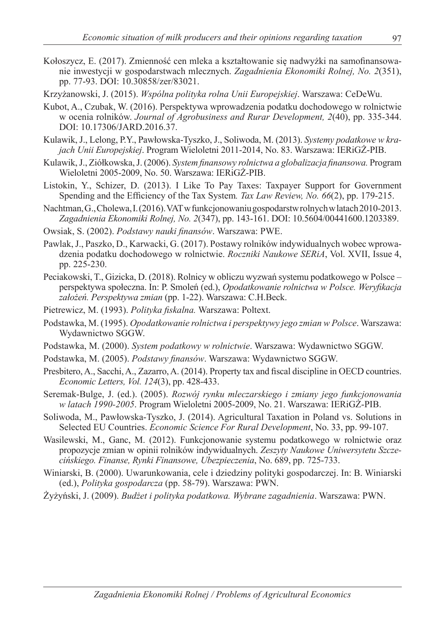- Kołoszycz, E. (2017). Zmienność cen mleka a kształtowanie się nadwyżki na samofinansowanie inwestycji w gospodarstwach mlecznych. *Zagadnienia Ekonomiki Rolnej, No. 2*(351), pp. 77-93. DOI: 10.30858/zer/83021.
- Krzyżanowski, J. (2015). *Wspólna polityka rolna Unii Europejskiej*. Warszawa: CeDeWu.
- Kubot, A., Czubak, W. (2016). Perspektywa wprowadzenia podatku dochodowego w rolnictwie w ocenia rolników. *Journal of Agrobusiness and Rurar Development, 2*(40), pp. 335-344. DOI: 10.17306/JARD.2016.37.
- Kulawik, J., Lelong, P.Y., Pawłowska-Tyszko, J., Soliwoda, M. (2013). *Systemy podatkowe w krajach Unii Europejskiej*. Program Wieloletni 2011-2014, No. 83. Warszawa: IERiGŻ-PIB.
- Kulawik, J., Ziółkowska, J. (2006). *System finansowy rolnictwa a globalizacja finansowa.* Program Wieloletni 2005-2009, No. 50. Warszawa: IERiGŻ-PIB.
- Listokin, Y., Schizer, D. (2013). I Like To Pay Taxes: Taxpayer Support for Government Spending and the Efficiency of the Tax System*. Tax Law Review, No. 66*(2), pp. 179-215.
- Nachtman, G., Cholewa, I. (2016). VAT w funkcjonowaniu gospodarstw rolnych w latach 2010-2013. *Zagadnienia Ekonomiki Rolnej, No. 2*(347), pp. 143-161. DOI: 10.5604/00441600.1203389.
- Owsiak, S. (2002). *Podstawy nauki finansów*. Warszawa: PWE.
- Pawlak, J., Paszko, D., Karwacki, G. (2017). Postawy rolników indywidualnych wobec wprowadzenia podatku dochodowego w rolnictwie. *Roczniki Naukowe SERiA*, Vol. XVII, Issue 4, pp. 225-230.
- Peciakowski, T., Gizicka, D. (2018). Rolnicy w obliczu wyzwań systemu podatkowego w Polsce perspektywa społeczna. In: P. Smoleń (ed.), *Opodatkowanie rolnictwa w Polsce. Weryfikacja założeń. Perspektywa zmian* (pp. 1-22). Warszawa: C.H.Beck.
- Pietrewicz, M. (1993). *Polityka fiskalna.* Warszawa: Poltext.
- Podstawka, M. (1995). *Opodatkowanie rolnictwa i perspektywy jego zmian w Polsce*. Warszawa: Wydawnictwo SGGW.
- Podstawka, M. (2000). *System podatkowy w rolnictwie*. Warszawa: Wydawnictwo SGGW.
- Podstawka, M. (2005). *Podstawy finansów*. Warszawa: Wydawnictwo SGGW.
- Presbitero, A., Sacchi, A., Zazarro, A. (2014). Property tax and fiscal discipline in OECD countries. *Economic Letters, Vol. 124*(3), pp. 428-433.
- Seremak-Bulge, J. (ed.). (2005). *Rozwój rynku mleczarskiego i zmiany jego funkcjonowania w latach 1990-2005*. Program Wieloletni 2005-2009, No. 21. Warszawa: IERiGŻ-PIB.
- Soliwoda, M., Pawłowska-Tyszko, J. (2014). Agricultural Taxation in Poland vs. Solutions in Selected EU Countries. *Economic Science For Rural Development*, No. 33, pp. 99-107.
- Wasilewski, M., Ganc, M. (2012). Funkcjonowanie systemu podatkowego w rolnictwie oraz propozycje zmian w opinii rolników indywidualnych. *Zeszyty Naukowe Uniwersytetu Szczecińskiego. Finanse, Rynki Finansowe, Ubezpieczenia*, No. 689, pp. 725-733.
- Winiarski, B. (2000). Uwarunkowania, cele i dziedziny polityki gospodarczej. In: B. Winiarski (ed.), *Polityka gospodarcza* (pp. 58-79). Warszawa: PWN.
- Żyżyński, J. (2009). *Budżet i polityka podatkowa. Wybrane zagadnienia*. Warszawa: PWN.